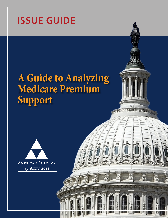## **ISSUE GUIDE**

# **A Guide to Analyzing Medicare Premium Support**





州

型 图 程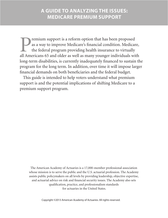**Premium support is a reform option that has been proposed**<br>as a way to improve Medicare's financial condition. Medicar<br>the federal program providing health insurance to virtually<br>all Americans 65 and older as well as many as a way to improve Medicare's financial condition. Medicare, the federal program providing health insurance to virtually all Americans 65 and older as well as many younger individuals with long-term disabilities, is currently inadequately financed to sustain the program for the long term. In addition, over time it will impose larger financial demands on both beneficiaries and the federal budget.

This guide is intended to help voters understand what premium support is and the potential implications of shifting Medicare to a premium support program.

The American Academy of Actuaries is a 17,000-member professional association whose mission is to serve the public and the U.S. actuarial profession. The Academy assists public policymakers on all levels by providing leadership, objective expertise, and actuarial advice on risk and financial security issues. The Academy also sets qualification, practice, and professionalism standards for actuaries in the United States.

Copyright ©2013 American Academy of Actuaries. All rights reserved.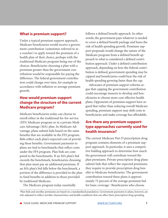### **What is premium support?**

Under a typical premium support approach, Medicare beneficiaries would receive a government contribution (sometimes referred to as a voucher) to apply toward the premium of a health plan of their choice, perhaps with the traditional Medicare program being one of the choices. Beneficiaries choosing a plan with a premium greater than the government contribution would be responsible for paying the difference. The federal government contribution could change over time, for example in accordance with inflation or average premium growth.

## **How would premium support change the structure of the current Medicare program?**

Medicare beneficiaries today can choose to enroll either in the traditional fee-for-service (FFS) Medicare program or in a private Medicare Advantage (MA) plan. In Medicare Advantage, plans submit bids based on the same benefits that are available in the FFS program. Bids reflect each plan's expected cost of providing these benefits. Government payments to plans are tied to benchmarks that reflect costs under the FFS program. Plan bids are compared to the benchmarks. If an MA plan's bid exceeds the benchmark, beneficiaries choosing that plan must pay an additional premium. If an MA plan's bid falls below the benchmark, a portion of the difference is provided to the plan to fund benefits in addition to those provided by traditional Medicare.

The Medicare program today essentially

follows a defined benefit approach. In other words, the government pays whatever is needed to cover a defined benefit package and bears the risk of health spending growth. Premium support proposals would change the nature of the Medicare program from a defined benefit approach to what is considered a defined contribution approach. Under a defined contribution approach, depending on how the federal contribution is defined, government spending may be capped and beneficiaries could bear the risk of health spending growing faster than the cap.

Advocates of premium support reforms argue that capping the government contribution could encourage insurers to develop and beneficiaries to choose more cost-effective health plans. Opponents of premium support have argued that rather than reducing overall Medicare spending, premium support may shift costs to beneficiaries and make coverage less affordable.

## **Are there any premium supporttype approaches currently used for health insurance?**

The current Medicare Part D prescription drug program contains elements of a premium support approach. In particular, it uses a competitive bidding approach to determine how much the government will contribute toward the plan premiums. Private prescription drug plans submit bids that reflect the expected premiums they require to provide prescription drug benefits to Medicare beneficiaries. The government contribution toward these plans is approximately 75 percent of the average premium bid for basic coverage.<sup>1</sup> Beneficiaries who choose

1 Plan bids and enrollee premiums are based on a standardized population. Government payments to plans, however, are risk-adjusted to reflect enrollee characteristics and health conditions that can affect their prescription drug spending.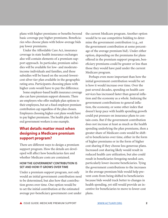plans with higher premiums or benefits beyond basic coverage pay higher premiums. Beneficiaries who choose plans with below-average bids pay lower premiums.

Under the Affordable Care Act, insurance coverage in state health insurance exchanges also will contain elements of a premium support approach. In particular, premium subsidies will be available for low- and moderateincome individuals and families, and these subsidies will be based on the second-lowestcost silver tier plan available in the geographic rating area. Participants choosing plans with higher costs would have to pay the difference.

Some employer-based health insurance coverage also can have premium support elements. There are employers who offer multiple plan options to their employees, but set a fixed employer premium contribution cap regardless of the plan chosen. Employees choosing higher-cost plans would have to pay higher premiums. The health plan for federal government workers is one example.

## **What details matter most when designing a Medicare premium support program?**

There are different ways to design a premium support program. How the details are developed will affect how beneficiaries fare and whether Medicare costs are contained.

#### **HOW THE GOVERNMENT CONTRIBUTION IS SET AND HOW IT GROWS OVER TIME**

Under a premium support program, not only would an initial government contribution need to be determined, but also how that contribution grows over time. One option would be to set the initial contribution at the estimated average per-beneficiary government cost under

the current Medicare program. Another option would be to use competitive bidding to determine the government contribution (e.g., set the government contribution at some percentage of the average premium bid). Under either option, depending on the premiums for plans offered in the premium support program, beneficiary premiums could be greater or less than those they would have paid under the current Medicare program.

Perhaps even more important than how the initial government contribution would be set is how it would increase over time. Over the past several decades, spending on health care services has increased faster than general inflation and the economy as a whole. Indexing the government contributions to general inflation, the economy, or some other index that doesn't keep pace with health spending growth could put pressure on insurance plans to contain costs. But if the government contribution does not increase at least as much as the health spending underlying the plan premiums, then a greater share of Medicare costs would be shifted to beneficiaries over time, either in the form of higher premiums or in the form of higher cost sharing if they choose less generous plans. Increased cost sharing likely would result in reduced health care utilization, but also could result in beneficiaries foregoing needed care, particularly lower-income beneficiaries. Tying the government contributions to the increases in the average premium bids would help prevent costs from being shifted to beneficiaries because bids would track better to changes in health spending, yet still would provide an incentive for beneficiaries to move to lower-cost plans.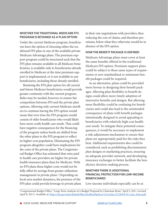#### **WHETHER THE TRADITIONAL MEDICARE FFS PROGRAM IS RETAINED AS A PLAN OPTION**

Under the current Medicare program, beneficiaries have the option of choosing either the traditional FFS plan or one of the available private Medicare Advantage plans. The premium support program could be structured such that the FFS plan remains available to all Medicare beneficiaries, is available only to beneficiaries already enrolled in Medicare at the time premium support is implemented, or is not available to any beneficiaries, including those already enrolled.

Retaining the FFS plan option for all current and future Medicare beneficiaries would provide greater continuity with the current program. Rules may be needed, however, to ensure fair competition between FFS and the private plan options. Allowing only current Medicare enrollees to continue having the FFS option would mean that over time the FFS program would consist of older beneficiaries who would likely have more costly health care needs. That could have negative consequences for the financing of the program unless funds are shifted from the other plans to the FFS program to reflect its higher-cost population. Eliminating the FFS program altogether could have implications for the costs of the private plans. The Congressional Budget Office has estimated that rates paid to health care providers are higher for private health insurance plans than for Medicare. With no FFS plans these higher costs would not be fully offset by savings from greater utilization management in private plans.<sup>2</sup> Depending on local-area market dynamics, the presence of the FFS plan could provide leverage to private plans

in their rate negotiations with providers, thus reducing the cost of claims, and therefore premiums, below what they otherwise would be in absence of the FFS option.

#### **HOW THE BENEFIT PACKAGE IS DEFINED**

Medicare Advantage plans must cover at least the same benefits offered in the traditional Medicare FFS option. Premium support plans could be subject to these same types of requirements or new standardized or minimum benefit packages could be required.

As an alternative, plans could be provided more leeway in designing their benefit packages. Allowing plan flexibility in benefit designs could allow more timely adoption of innovative benefits and designs. But allowing more flexibility could be confusing for beneficiaries and could also lead to the unintended consequence of plans with benefit packages intentionally designed to avoid appealing to beneficiaries with relatively high-cost health care needs. To mitigate these potential consequences, it would be necessary to implement a risk-adjustment mechanism to ensure that plans are appropriately paid for the risks they bear. Additional requirements also could be considered, such as prohibiting discriminatory plan designs or marketing practices, ensuring an adequate provider network, and developing insurance exchanges to better facilitate the beneficiary decision-making process.

#### **WHETHER THERE IS ADDITIONAL FINANCIAL PROTECTION FOR LOW-INCOME BENEFICIARIES**

Low-income individuals especially can be at

<sup>2</sup> Congressional Budget Office, "Long-Term Analysis of a Budget Proposal by Chairman Ryan," April 5, 2011 (revised April 8, 2011). Available at: [http://cbo.gov/sites/default/files/cbofiles/ftpdocs/121xx/doc12128/04-05-ryan\\_letter.pdf.](http://cbo.gov/sites/default/files/cbofiles/ftpdocs/121xx/doc12128/04-05-ryan_letter.pdf)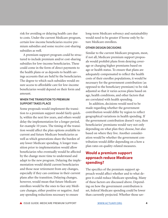risk for avoiding or delaying health care due to costs. Under the current Medicare program, certain low-income beneficiaries receive premium subsidies and some receive cost-sharing subsidies as well.

A premium support program could be structured to include premium and/or cost-sharing subsidies for low-income beneficiaries. These could come in the form of direct payments to the health plans or as deposits to health savings accounts that are held by the beneficiaries. The degree to which such subsidies would ensure access to affordable care for low-income beneficiaries would depend on their form and amount.

#### **WHEN THE TRANSITION TO PREMIUM SUPPORT TAKES PLACE**

Some proposals would implement the transition to a premium support model fairly quickly, within the next few years, and others would delay the implementation for a longer period, for example 10 years. The timing of the transition would affect the plan options available to current and future Medicare beneficiaries as well as which generations share the burden of any lower Medicare spending. A longer transition prior to implementation would allow beneficiaries who eventually would be affected by the change more time to understand and adapt to the new program. Delaying the implementation would shield current beneficiaries and those near retirement from any changes, especially if they can continue in their current plans after the transition. Delaying changes, however, would mean that future Medicare enrollees would be the ones to face any Medicare changes, either positive or negative. And any spending reductions necessary to ensure

long-term Medicare solvency and sustainability would need to be greater if borne only by future Medicare enrollees.

#### **OTHER DESIGN DECISIONS**

Similar to the current Medicare program, most, if not all, Medicare premium support proposals would prohibit plans from denying coverage or charging higher premiums based on age or health status. To ensure that plans are adequately compensated to reflect the health costs of their enrollee populations, it would be necessary for the government contribution (as opposed to the beneficiary premium) to be risk adjusted so that it varies across plans based on age, health conditions, and other factors that are correlated with health spending.

In addition, decisions would need to be made regarding whether the government contribution would differ by region to reflect geographical variations in health spending. If the government contribution doesn't vary, then beneficiaries' premiums would vary not only depending on what plan they choose, but also based on where they live. Another consideration would be whether the government contribution would differ depending on a how a plan rates on quality-related measures.

## **Would a premium support approach reduce Medicare spending?**

The specifics of the premium support approach would affect whether and to what degree it could reduce Medicare spending. Many of these factors are discussed above. Depending on how the government contribution is set, federal Medicare spending could be lower than currently projected. Whether those sav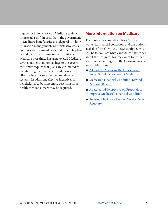ings result in lower overall Medicare savings or instead a shift in costs from the government to Medicare beneficiaries also depends on how utilization management, administrative costs, and provider payment rates under private plans would compare to those under traditional Medicare over time. Ensuring overall Medicare savings rather than just savings to the government may require that plans are structured to facilitate higher quality care and more costeffective health care payment and delivery systems. In addition, effective incentives for beneficiaries to become more cost-conscious health care consumers may be required.

### **More information on Medicare**

The more you know about how Medicare works, its financial condition, and the options available for reform, the better equipped you will be to evaluate what candidates have to say about the program. You may want to further your understanding with the following Academy publications:

- $\blacksquare$  A Guide to Analyzing the Issues: What [Voters Should Know About Medicare](http://www.actuary.org/files/publications/Campaign 2012 Medicare FINAL 042312.pdf)
- Medicare's Financial Condition: Beyond [Actuarial Balance](http://www.actuary.org/files/Medicare_Trustees_IB_FINAL_05_21_12.pdf)
- n An Actuarial Perspective on Proposals to [Improve Medicare's Financial Condition](http://www.actuary.org/files/Medicare_Financial_IB_Final_051211.8.pdf/Medicare_Financial_IB_Final_051211.8.pdf)
- Revising Medicare's Fee-For-Service Benefit [Structure](http://www.actuary.org/files/Medicare_FFS_Design_Issue_Brief_03_07_12_final.pdf)